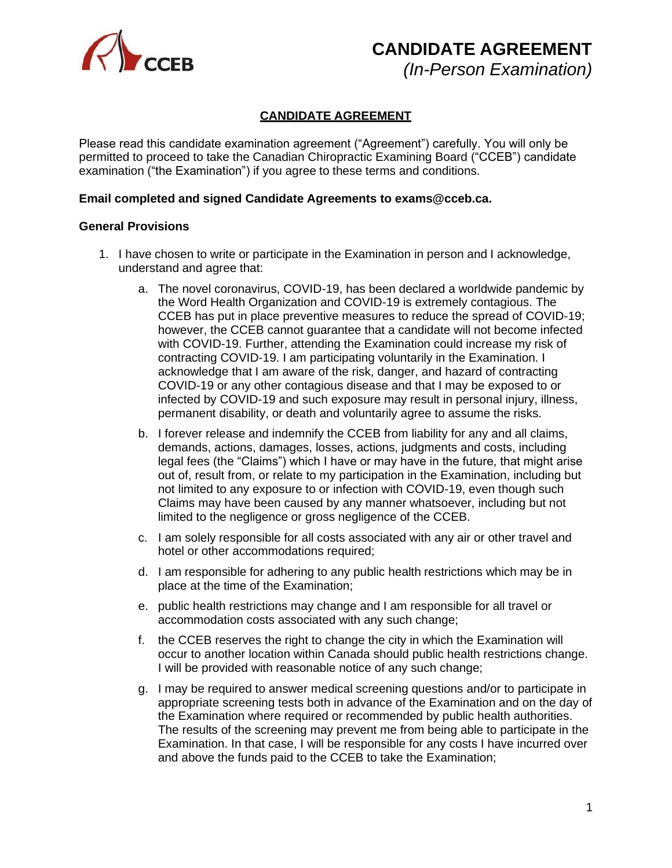

**CANDIDATE AGREEMENT**

*(In-Person Examination)*

## **CANDIDATE AGREEMENT**

Please read this candidate examination agreement ("Agreement") carefully. You will only be permitted to proceed to take the Canadian Chiropractic Examining Board ("CCEB") candidate examination ("the Examination") if you agree to these terms and conditions.

### **Email completed and signed Candidate Agreements to [exams@cceb.ca.](mailto:exams@cceb.ca)**

#### **General Provisions**

- 1. I have chosen to write or participate in the Examination in person and I acknowledge, understand and agree that:
	- a. The novel coronavirus, COVID-19, has been declared a worldwide pandemic by the Word Health Organization and COVID-19 is extremely contagious. The CCEB has put in place preventive measures to reduce the spread of COVID-19; however, the CCEB cannot guarantee that a candidate will not become infected with COVID-19. Further, attending the Examination could increase my risk of contracting COVID-19. I am participating voluntarily in the Examination. I acknowledge that I am aware of the risk, danger, and hazard of contracting COVID-19 or any other contagious disease and that I may be exposed to or infected by COVID-19 and such exposure may result in personal injury, illness, permanent disability, or death and voluntarily agree to assume the risks.
	- b. I forever release and indemnify the CCEB from liability for any and all claims, demands, actions, damages, losses, actions, judgments and costs, including legal fees (the "Claims") which I have or may have in the future, that might arise out of, result from, or relate to my participation in the Examination, including but not limited to any exposure to or infection with COVID-19, even though such Claims may have been caused by any manner whatsoever, including but not limited to the negligence or gross negligence of the CCEB.
	- c. I am solely responsible for all costs associated with any air or other travel and hotel or other accommodations required;
	- d. I am responsible for adhering to any public health restrictions which may be in place at the time of the Examination;
	- e. public health restrictions may change and I am responsible for all travel or accommodation costs associated with any such change;
	- f. the CCEB reserves the right to change the city in which the Examination will occur to another location within Canada should public health restrictions change. I will be provided with reasonable notice of any such change;
	- g. I may be required to answer medical screening questions and/or to participate in appropriate screening tests both in advance of the Examination and on the day of the Examination where required or recommended by public health authorities. The results of the screening may prevent me from being able to participate in the Examination. In that case, I will be responsible for any costs I have incurred over and above the funds paid to the CCEB to take the Examination;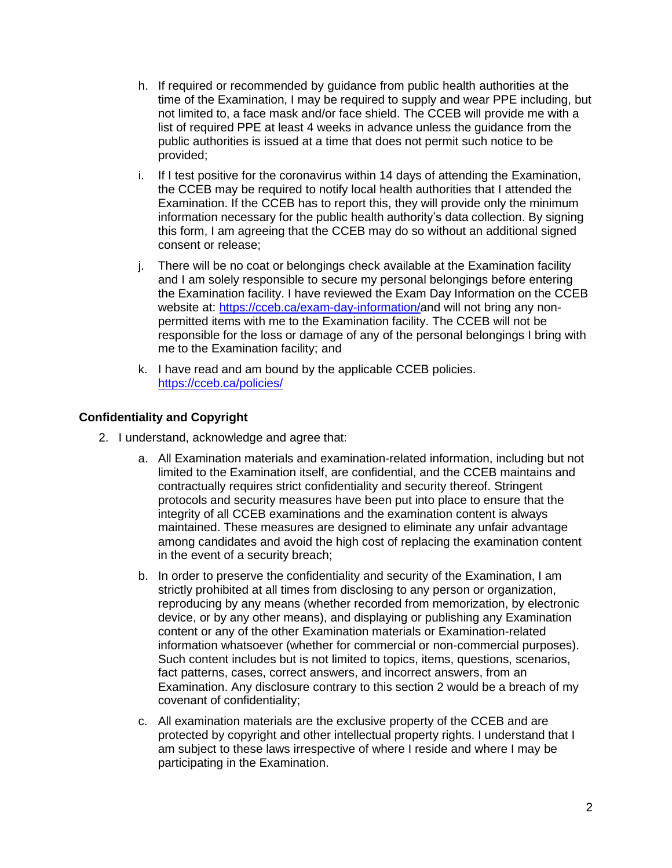- h. If required or recommended by guidance from public health authorities at the time of the Examination, I may be required to supply and wear PPE including, but not limited to, a face mask and/or face shield. The CCEB will provide me with a list of required PPE at least 4 weeks in advance unless the guidance from the public authorities is issued at a time that does not permit such notice to be provided;
- i. If I test positive for the coronavirus within 14 days of attending the Examination, the CCEB may be required to notify local health authorities that I attended the Examination. If the CCEB has to report this, they will provide only the minimum information necessary for the public health authority's data collection. By signing this form, I am agreeing that the CCEB may do so without an additional signed consent or release;
- j. There will be no coat or belongings check available at the Examination facility and I am solely responsible to secure my personal belongings before entering the Examination facility. I have reviewed the Exam Day Information on the CCEB website at: [https://cceb.ca/exam-day-information/a](https://cceb.ca/exam-day-information/)nd will not bring any nonpermitted items with me to the Examination facility. The CCEB will not be responsible for the loss or damage of any of the personal belongings I bring with me to the Examination facility; and
- k. I have read and am bound by the applicable CCEB policies. <https://cceb.ca/policies/>

# **Confidentiality and Copyright**

- 2. I understand, acknowledge and agree that:
	- a. All Examination materials and examination-related information, including but not limited to the Examination itself, are confidential, and the CCEB maintains and contractually requires strict confidentiality and security thereof. Stringent protocols and security measures have been put into place to ensure that the integrity of all CCEB examinations and the examination content is always maintained. These measures are designed to eliminate any unfair advantage among candidates and avoid the high cost of replacing the examination content in the event of a security breach;
	- b. In order to preserve the confidentiality and security of the Examination, I am strictly prohibited at all times from disclosing to any person or organization, reproducing by any means (whether recorded from memorization, by electronic device, or by any other means), and displaying or publishing any Examination content or any of the other Examination materials or Examination-related information whatsoever (whether for commercial or non-commercial purposes). Such content includes but is not limited to topics, items, questions, scenarios, fact patterns, cases, correct answers, and incorrect answers, from an Examination. Any disclosure contrary to this section 2 would be a breach of my covenant of confidentiality;
	- c. All examination materials are the exclusive property of the CCEB and are protected by copyright and other intellectual property rights. I understand that I am subject to these laws irrespective of where I reside and where I may be participating in the Examination.